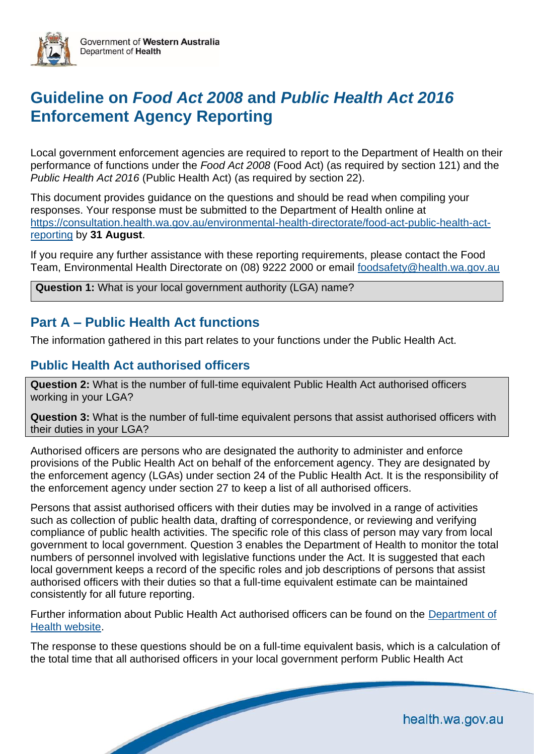

# **Guideline on** *Food Act 2008* **and** *Public Health Act 2016* **Enforcement Agency Reporting**

Local government enforcement agencies are required to report to the Department of Health on their performance of functions under the *Food Act 2008* (Food Act) (as required by section 121) and the *Public Health Act 2016* (Public Health Act) (as required by section 22).

This document provides guidance on the questions and should be read when compiling your responses. Your response must be submitted to the Department of Health online at [https://consultation.health.wa.gov.au/environmental-health-directorate/food-act-public-health-act](https://consultation.health.wa.gov.au/environmental-health-directorate/food-act-public-health-act-reporting)[reporting](https://consultation.health.wa.gov.au/environmental-health-directorate/food-act-public-health-act-reporting) by **31 August**.

If you require any further assistance with these reporting requirements, please contact the Food Team, Environmental Health Directorate on (08) 9222 2000 or email [foodsafety@health.wa.gov.au](mailto:foodsafety@health.wa.gov.au)

**Question 1:** What is your local government authority (LGA) name?

# **Part A – Public Health Act functions**

The information gathered in this part relates to your functions under the Public Health Act.

### **Public Health Act authorised officers**

**Question 2:** What is the number of full-time equivalent Public Health Act authorised officers working in your LGA?

**Question 3:** What is the number of full-time equivalent persons that assist authorised officers with their duties in your LGA?

Authorised officers are persons who are designated the authority to administer and enforce provisions of the Public Health Act on behalf of the enforcement agency. They are designated by the enforcement agency (LGAs) under section 24 of the Public Health Act. It is the responsibility of the enforcement agency under section 27 to keep a list of all authorised officers.

Persons that assist authorised officers with their duties may be involved in a range of activities such as collection of public health data, drafting of correspondence, or reviewing and verifying compliance of public health activities. The specific role of this class of person may vary from local government to local government. Question 3 enables the Department of Health to monitor the total numbers of personnel involved with legislative functions under the Act. It is suggested that each local government keeps a record of the specific roles and job descriptions of persons that assist authorised officers with their duties so that a full-time equivalent estimate can be maintained consistently for all future reporting.

Further information about Public Health Act authorised officers can be found on the Department of Health website.

The response to these questions should be on a full-time equivalent basis, which is a calculation of the total time that all authorised officers in your local government perform Public Health Act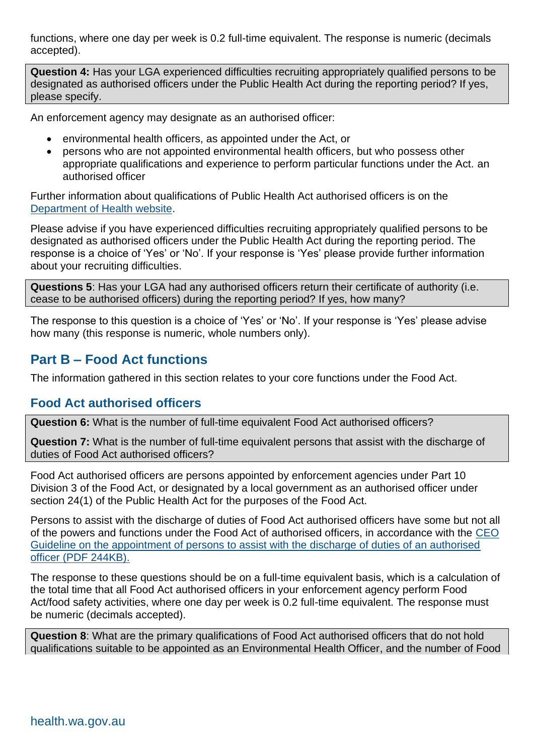functions, where one day per week is 0.2 full-time equivalent. The response is numeric (decimals accepted).

**Question 4:** Has your LGA experienced difficulties recruiting appropriately qualified persons to be designated as authorised officers under the Public Health Act during the reporting period? If yes, please specify.

An enforcement agency may designate as an authorised officer:

- environmental health officers, as appointed under the Act, or
- persons who are not appointed environmental health officers, but who possess other appropriate qualifications and experience to perform particular functions under the Act. an authorised officer

Further information about qualifications of Public Health Act authorised officers is on the Department of Health website.

Please advise if you have experienced difficulties recruiting appropriately qualified persons to be designated as authorised officers under the Public Health Act during the reporting period. The response is a choice of 'Yes' or 'No'. If your response is 'Yes' please provide further information about your recruiting difficulties.

**Questions 5**: Has your LGA had any authorised officers return their certificate of authority (i.e. cease to be authorised officers) during the reporting period? If yes, how many?

The response to this question is a choice of 'Yes' or 'No'. If your response is 'Yes' please advise how many (this response is numeric, whole numbers only).

### **Part B – Food Act functions**

The information gathered in this section relates to your core functions under the Food Act.

### **Food Act authorised officers**

**Question 6:** What is the number of full-time equivalent Food Act authorised officers?

**Question 7:** What is the number of full-time equivalent persons that assist with the discharge of duties of Food Act authorised officers?

Food Act authorised officers are persons appointed by enforcement agencies under Part 10 Division 3 of the Food Act, or designated by a local government as an authorised officer under section 24(1) of the Public Health Act for the purposes of the Food Act.

Persons to assist with the discharge of duties of Food Act authorised officers have some but not all of the powers and functions under the Food Act of authorised officers, in accordance with the [CEO](https://ww2.health.wa.gov.au/-/media/Files/Corporate/general-documents/food/PDF/Guidelines_on_appointment_persons_assist_authorised_officers.pdf)  [Guideline on the appointment of persons to assist with the discharge of duties of an authorised](https://ww2.health.wa.gov.au/-/media/Files/Corporate/general-documents/food/PDF/Guidelines_on_appointment_persons_assist_authorised_officers.pdf)  [officer \(PDF 244KB\).](https://ww2.health.wa.gov.au/-/media/Files/Corporate/general-documents/food/PDF/Guidelines_on_appointment_persons_assist_authorised_officers.pdf)

The response to these questions should be on a full-time equivalent basis, which is a calculation of the total time that all Food Act authorised officers in your enforcement agency perform Food Act/food safety activities, where one day per week is 0.2 full-time equivalent. The response must be numeric (decimals accepted).

**Question 8**: What are the primary qualifications of Food Act authorised officers that do not hold qualifications suitable to be appointed as an Environmental Health Officer, and the number of Food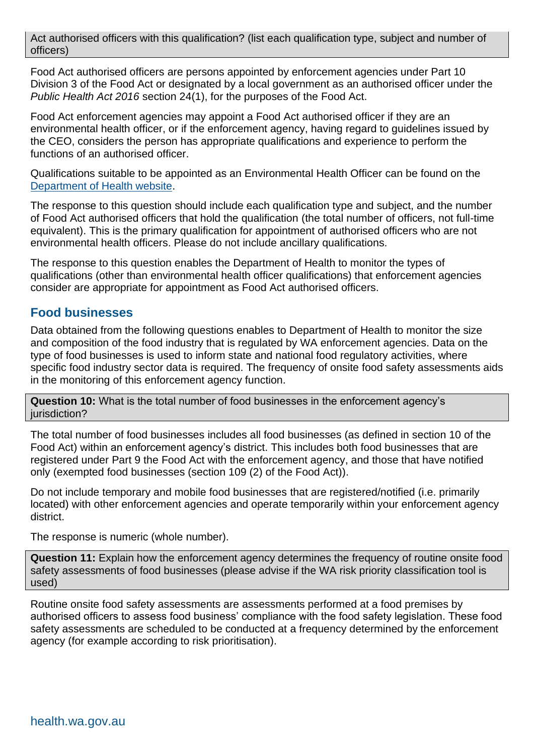Act authorised officers with this qualification? (list each qualification type, subject and number of officers)

Food Act authorised officers are persons appointed by enforcement agencies under Part 10 Division 3 of the Food Act or designated by a local government as an authorised officer under the *Public Health Act 2016* section 24(1), for the purposes of the Food Act.

Food Act enforcement agencies may appoint a Food Act authorised officer if they are an environmental health officer, or if the enforcement agency, having regard to guidelines issued by the CEO, considers the person has appropriate qualifications and experience to perform the functions of an authorised officer.

Qualifications suitable to be appointed as an Environmental Health Officer can be found on the [Department of Health website.](https://ww2.health.wa.gov.au/Articles/A_E/Designation-of-authorised-officers)

The response to this question should include each qualification type and subject, and the number of Food Act authorised officers that hold the qualification (the total number of officers, not full-time equivalent). This is the primary qualification for appointment of authorised officers who are not environmental health officers. Please do not include ancillary qualifications.

The response to this question enables the Department of Health to monitor the types of qualifications (other than environmental health officer qualifications) that enforcement agencies consider are appropriate for appointment as Food Act authorised officers.

### **Food businesses**

Data obtained from the following questions enables to Department of Health to monitor the size and composition of the food industry that is regulated by WA enforcement agencies. Data on the type of food businesses is used to inform state and national food regulatory activities, where specific food industry sector data is required. The frequency of onsite food safety assessments aids in the monitoring of this enforcement agency function.

**Question 10:** What is the total number of food businesses in the enforcement agency's jurisdiction?

The total number of food businesses includes all food businesses (as defined in section 10 of the Food Act) within an enforcement agency's district. This includes both food businesses that are registered under Part 9 the Food Act with the enforcement agency, and those that have notified only (exempted food businesses (section 109 (2) of the Food Act)).

Do not include temporary and mobile food businesses that are registered/notified (i.e. primarily located) with other enforcement agencies and operate temporarily within your enforcement agency district.

The response is numeric (whole number).

**Question 11:** Explain how the enforcement agency determines the frequency of routine onsite food safety assessments of food businesses (please advise if the WA risk priority classification tool is used)

Routine onsite food safety assessments are assessments performed at a food premises by authorised officers to assess food business' compliance with the food safety legislation. These food safety assessments are scheduled to be conducted at a frequency determined by the enforcement agency (for example according to risk prioritisation).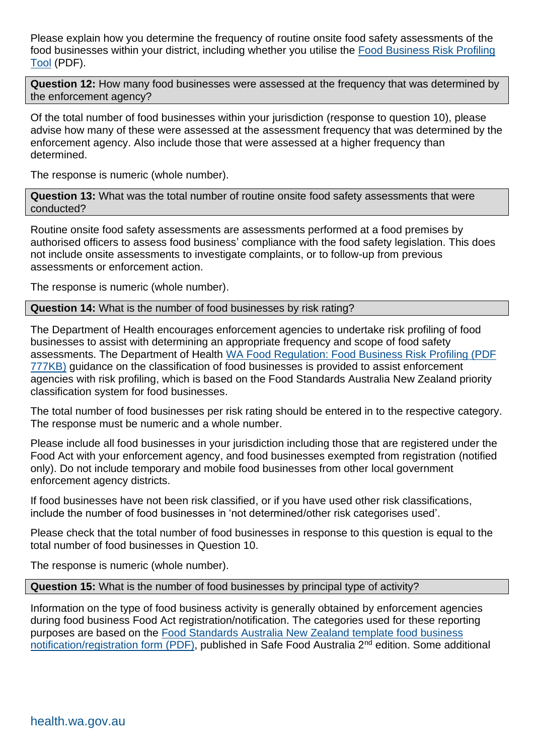Please explain how you determine the frequency of routine onsite food safety assessments of the food businesses within your district, including whether you utilise the [Food Business Risk Profiling](https://ww2.health.wa.gov.au/~/media/Files/Corporate/general%20documents/food/PDF/WA_Food_Regulation_Food_Business_Risk_Profiling.pdf)  [Tool](https://ww2.health.wa.gov.au/~/media/Files/Corporate/general%20documents/food/PDF/WA_Food_Regulation_Food_Business_Risk_Profiling.pdf) (PDF).

**Question 12:** How many food businesses were assessed at the frequency that was determined by the enforcement agency?

Of the total number of food businesses within your jurisdiction (response to question 10), please advise how many of these were assessed at the assessment frequency that was determined by the enforcement agency. Also include those that were assessed at a higher frequency than determined.

The response is numeric (whole number).

**Question 13:** What was the total number of routine onsite food safety assessments that were conducted?

Routine onsite food safety assessments are assessments performed at a food premises by authorised officers to assess food business' compliance with the food safety legislation. This does not include onsite assessments to investigate complaints, or to follow-up from previous assessments or enforcement action.

The response is numeric (whole number).

#### **Question 14:** What is the number of food businesses by risk rating?

The Department of Health encourages enforcement agencies to undertake risk profiling of food businesses to assist with determining an appropriate frequency and scope of food safety assessments. The Department of Health [WA Food Regulation: Food Business Risk Profiling \(PDF](https://ww2.health.wa.gov.au/-/media/Files/Corporate/general-documents/food/PDF/WA_Food_Regulation_Food_Business_Risk_Profiling.pdf)  [777KB\)](https://ww2.health.wa.gov.au/-/media/Files/Corporate/general-documents/food/PDF/WA_Food_Regulation_Food_Business_Risk_Profiling.pdf) guidance on the classification of food businesses is provided to assist enforcement agencies with risk profiling, which is based on the Food Standards Australia New Zealand priority classification system for food businesses.

The total number of food businesses per risk rating should be entered in to the respective category. The response must be numeric and a whole number.

Please include all food businesses in your jurisdiction including those that are registered under the Food Act with your enforcement agency, and food businesses exempted from registration (notified only). Do not include temporary and mobile food businesses from other local government enforcement agency districts.

If food businesses have not been risk classified, or if you have used other risk classifications, include the number of food businesses in 'not determined/other risk categorises used'.

Please check that the total number of food businesses in response to this question is equal to the total number of food businesses in Question 10.

The response is numeric (whole number).

**Question 15:** What is the number of food businesses by principal type of activity?

Information on the type of food business activity is generally obtained by enforcement agencies during food business Food Act registration/notification. The categories used for these reporting purposes are based on the Food Standards [Australia New Zealand template food business](https://www.foodstandards.gov.au/publications/Documents/Appendi1.pdf)  [notification/registration form](https://www.foodstandards.gov.au/publications/Documents/Appendi1.pdf) (PDF), published in Safe Food Australia 2<sup>nd</sup> edition. Some additional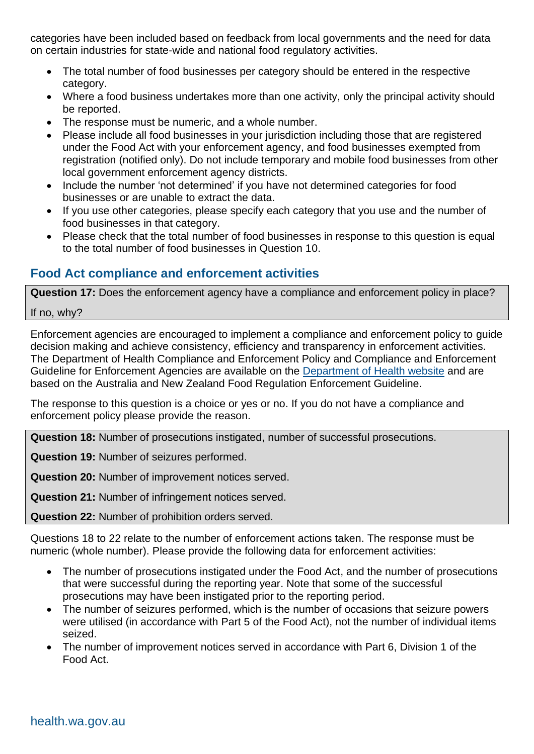categories have been included based on feedback from local governments and the need for data on certain industries for state-wide and national food regulatory activities.

- The total number of food businesses per category should be entered in the respective category.
- Where a food business undertakes more than one activity, only the principal activity should be reported.
- The response must be numeric, and a whole number.
- Please include all food businesses in your jurisdiction including those that are registered under the Food Act with your enforcement agency, and food businesses exempted from registration (notified only). Do not include temporary and mobile food businesses from other local government enforcement agency districts.
- Include the number 'not determined' if you have not determined categories for food businesses or are unable to extract the data.
- If you use other categories, please specify each category that you use and the number of food businesses in that category.
- Please check that the total number of food businesses in response to this question is equal to the total number of food businesses in Question 10.

### **Food Act compliance and enforcement activities**

**Question 17:** Does the enforcement agency have a compliance and enforcement policy in place?

If no, why?

Enforcement agencies are encouraged to implement a compliance and enforcement policy to guide decision making and achieve consistency, efficiency and transparency in enforcement activities. The Department of Health Compliance and Enforcement Policy and Compliance and Enforcement Guideline for Enforcement Agencies are available on the [Department of Health website](https://ww2.health.wa.gov.au/Articles/A_E/Compliance-and-enforcement-of-food-legislation-in-WA) and are based on the Australia and New Zealand Food Regulation Enforcement Guideline.

The response to this question is a choice or yes or no. If you do not have a compliance and enforcement policy please provide the reason.

**Question 18:** Number of prosecutions instigated, number of successful prosecutions.

**Question 19:** Number of seizures performed.

**Question 20:** Number of improvement notices served.

**Question 21:** Number of infringement notices served.

**Question 22:** Number of prohibition orders served.

Questions 18 to 22 relate to the number of enforcement actions taken. The response must be numeric (whole number). Please provide the following data for enforcement activities:

- The number of prosecutions instigated under the Food Act, and the number of prosecutions that were successful during the reporting year. Note that some of the successful prosecutions may have been instigated prior to the reporting period.
- The number of seizures performed, which is the number of occasions that seizure powers were utilised (in accordance with Part 5 of the Food Act), not the number of individual items seized.
- The number of improvement notices served in accordance with Part 6, Division 1 of the Food Act.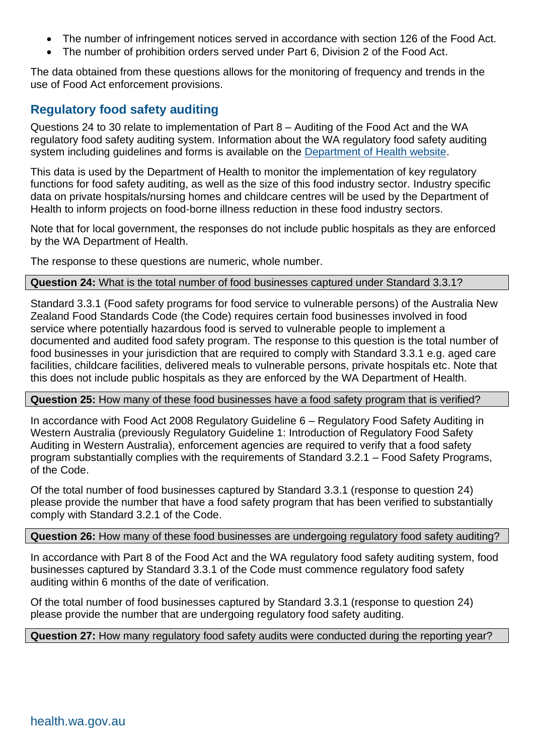- The number of infringement notices served in accordance with section 126 of the Food Act.
- The number of prohibition orders served under Part 6, Division 2 of the Food Act.

The data obtained from these questions allows for the monitoring of frequency and trends in the use of Food Act enforcement provisions.

### **Regulatory food safety auditing**

Questions 24 to 30 relate to implementation of Part 8 – Auditing of the Food Act and the WA regulatory food safety auditing system. Information about the WA regulatory food safety auditing system including guidelines and forms is available on the [Department of Health website.](https://ww2.health.wa.gov.au/Articles/N_R/Regulatory-food-safety-auditing-system-in-WA)

This data is used by the Department of Health to monitor the implementation of key regulatory functions for food safety auditing, as well as the size of this food industry sector. Industry specific data on private hospitals/nursing homes and childcare centres will be used by the Department of Health to inform projects on food-borne illness reduction in these food industry sectors.

Note that for local government, the responses do not include public hospitals as they are enforced by the WA Department of Health.

The response to these questions are numeric, whole number.

#### **Question 24:** What is the total number of food businesses captured under Standard 3.3.1?

Standard 3.3.1 (Food safety programs for food service to vulnerable persons) of the Australia New Zealand Food Standards Code (the Code) requires certain food businesses involved in food service where potentially hazardous food is served to vulnerable people to implement a documented and audited food safety program. The response to this question is the total number of food businesses in your jurisdiction that are required to comply with Standard 3.3.1 e.g. aged care facilities, childcare facilities, delivered meals to vulnerable persons, private hospitals etc. Note that this does not include public hospitals as they are enforced by the WA Department of Health.

#### **Question 25:** How many of these food businesses have a food safety program that is verified?

In accordance with Food Act 2008 Regulatory Guideline 6 – Regulatory Food Safety Auditing in Western Australia (previously Regulatory Guideline 1: Introduction of Regulatory Food Safety Auditing in Western Australia), enforcement agencies are required to verify that a food safety program substantially complies with the requirements of Standard 3.2.1 – Food Safety Programs, of the Code.

Of the total number of food businesses captured by Standard 3.3.1 (response to question 24) please provide the number that have a food safety program that has been verified to substantially comply with Standard 3.2.1 of the Code.

#### **Question 26:** How many of these food businesses are undergoing regulatory food safety auditing?

In accordance with Part 8 of the Food Act and the WA regulatory food safety auditing system, food businesses captured by Standard 3.3.1 of the Code must commence regulatory food safety auditing within 6 months of the date of verification.

Of the total number of food businesses captured by Standard 3.3.1 (response to question 24) please provide the number that are undergoing regulatory food safety auditing.

#### **Question 27:** How many regulatory food safety audits were conducted during the reporting year?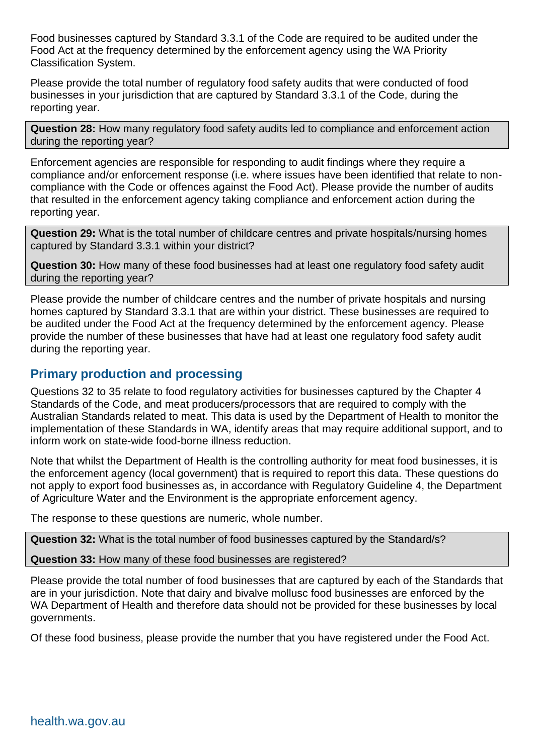Food businesses captured by Standard 3.3.1 of the Code are required to be audited under the Food Act at the frequency determined by the enforcement agency using the WA Priority Classification System.

Please provide the total number of regulatory food safety audits that were conducted of food businesses in your jurisdiction that are captured by Standard 3.3.1 of the Code, during the reporting year.

**Question 28:** How many regulatory food safety audits led to compliance and enforcement action during the reporting year?

Enforcement agencies are responsible for responding to audit findings where they require a compliance and/or enforcement response (i.e. where issues have been identified that relate to noncompliance with the Code or offences against the Food Act). Please provide the number of audits that resulted in the enforcement agency taking compliance and enforcement action during the reporting year.

**Question 29:** What is the total number of childcare centres and private hospitals/nursing homes captured by Standard 3.3.1 within your district?

**Question 30:** How many of these food businesses had at least one regulatory food safety audit during the reporting year?

Please provide the number of childcare centres and the number of private hospitals and nursing homes captured by Standard 3.3.1 that are within your district. These businesses are required to be audited under the Food Act at the frequency determined by the enforcement agency. Please provide the number of these businesses that have had at least one regulatory food safety audit during the reporting year.

### **Primary production and processing**

Questions 32 to 35 relate to food regulatory activities for businesses captured by the Chapter 4 Standards of the Code, and meat producers/processors that are required to comply with the Australian Standards related to meat. This data is used by the Department of Health to monitor the implementation of these Standards in WA, identify areas that may require additional support, and to inform work on state-wide food-borne illness reduction.

Note that whilst the Department of Health is the controlling authority for meat food businesses, it is the enforcement agency (local government) that is required to report this data. These questions do not apply to export food businesses as, in accordance with Regulatory Guideline 4, the Department of Agriculture Water and the Environment is the appropriate enforcement agency.

The response to these questions are numeric, whole number.

**Question 32:** What is the total number of food businesses captured by the Standard/s?

**Question 33:** How many of these food businesses are registered?

Please provide the total number of food businesses that are captured by each of the Standards that are in your jurisdiction. Note that dairy and bivalve mollusc food businesses are enforced by the WA Department of Health and therefore data should not be provided for these businesses by local governments.

Of these food business, please provide the number that you have registered under the Food Act.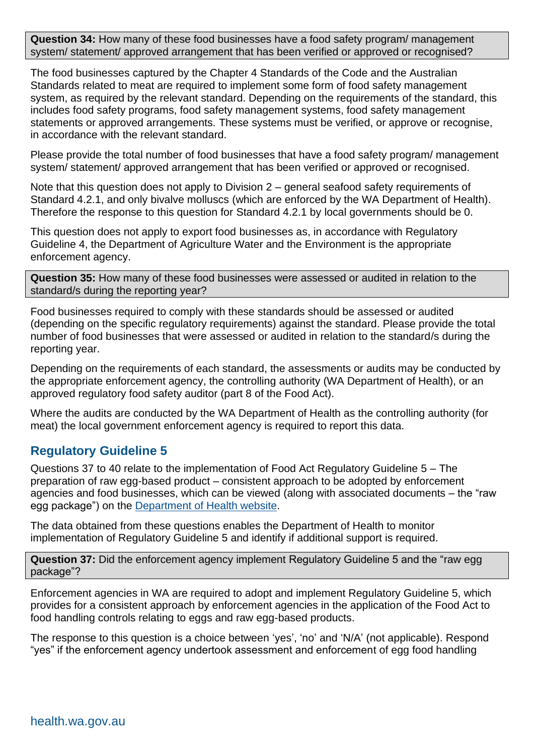**Question 34:** How many of these food businesses have a food safety program/ management system/ statement/ approved arrangement that has been verified or approved or recognised?

The food businesses captured by the Chapter 4 Standards of the Code and the Australian Standards related to meat are required to implement some form of food safety management system, as required by the relevant standard. Depending on the requirements of the standard, this includes food safety programs, food safety management systems, food safety management statements or approved arrangements. These systems must be verified, or approve or recognise, in accordance with the relevant standard.

Please provide the total number of food businesses that have a food safety program/ management system/ statement/ approved arrangement that has been verified or approved or recognised.

Note that this question does not apply to Division 2 – general seafood safety requirements of Standard 4.2.1, and only bivalve molluscs (which are enforced by the WA Department of Health). Therefore the response to this question for Standard 4.2.1 by local governments should be 0.

This question does not apply to export food businesses as, in accordance with Regulatory Guideline 4, the Department of Agriculture Water and the Environment is the appropriate enforcement agency.

**Question 35:** How many of these food businesses were assessed or audited in relation to the standard/s during the reporting year?

Food businesses required to comply with these standards should be assessed or audited (depending on the specific regulatory requirements) against the standard. Please provide the total number of food businesses that were assessed or audited in relation to the standard/s during the reporting year.

Depending on the requirements of each standard, the assessments or audits may be conducted by the appropriate enforcement agency, the controlling authority (WA Department of Health), or an approved regulatory food safety auditor (part 8 of the Food Act).

Where the audits are conducted by the WA Department of Health as the controlling authority (for meat) the local government enforcement agency is required to report this data.

## **Regulatory Guideline 5**

Questions 37 to 40 relate to the implementation of Food Act Regulatory Guideline 5 – The preparation of raw egg-based product – consistent approach to be adopted by enforcement agencies and food businesses, which can be viewed (along with associated documents – the "raw egg package") on the [Department of Health website.](https://ww2.health.wa.gov.au/Articles/S_T/Safe-Handling-of-Eggs-and-Products-Containing-Eggs)

The data obtained from these questions enables the Department of Health to monitor implementation of Regulatory Guideline 5 and identify if additional support is required.

**Question 37:** Did the enforcement agency implement Regulatory Guideline 5 and the "raw egg package"?

Enforcement agencies in WA are required to adopt and implement Regulatory Guideline 5, which provides for a consistent approach by enforcement agencies in the application of the Food Act to food handling controls relating to eggs and raw egg-based products.

The response to this question is a choice between 'yes', 'no' and 'N/A' (not applicable). Respond "yes" if the enforcement agency undertook assessment and enforcement of egg food handling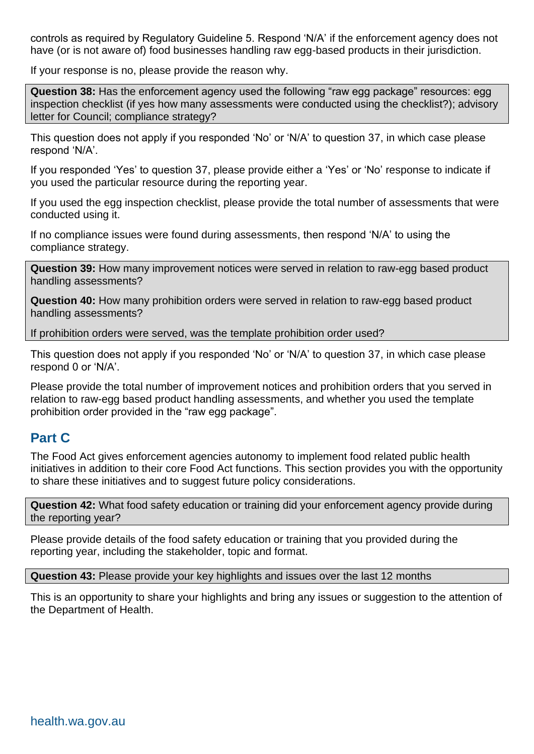controls as required by Regulatory Guideline 5. Respond 'N/A' if the enforcement agency does not have (or is not aware of) food businesses handling raw egg-based products in their jurisdiction.

If your response is no, please provide the reason why.

**Question 38:** Has the enforcement agency used the following "raw egg package" resources: egg inspection checklist (if yes how many assessments were conducted using the checklist?); advisory letter for Council; compliance strategy?

This question does not apply if you responded 'No' or 'N/A' to question 37, in which case please respond 'N/A'.

If you responded 'Yes' to question 37, please provide either a 'Yes' or 'No' response to indicate if you used the particular resource during the reporting year.

If you used the egg inspection checklist, please provide the total number of assessments that were conducted using it.

If no compliance issues were found during assessments, then respond 'N/A' to using the compliance strategy.

**Question 39:** How many improvement notices were served in relation to raw-egg based product handling assessments?

**Question 40:** How many prohibition orders were served in relation to raw-egg based product handling assessments?

If prohibition orders were served, was the template prohibition order used?

This question does not apply if you responded 'No' or 'N/A' to question 37, in which case please respond 0 or 'N/A'.

Please provide the total number of improvement notices and prohibition orders that you served in relation to raw-egg based product handling assessments, and whether you used the template prohibition order provided in the "raw egg package".

## **Part C**

The Food Act gives enforcement agencies autonomy to implement food related public health initiatives in addition to their core Food Act functions. This section provides you with the opportunity to share these initiatives and to suggest future policy considerations.

**Question 42:** What food safety education or training did your enforcement agency provide during the reporting year?

Please provide details of the food safety education or training that you provided during the reporting year, including the stakeholder, topic and format.

**Question 43:** Please provide your key highlights and issues over the last 12 months

This is an opportunity to share your highlights and bring any issues or suggestion to the attention of the Department of Health.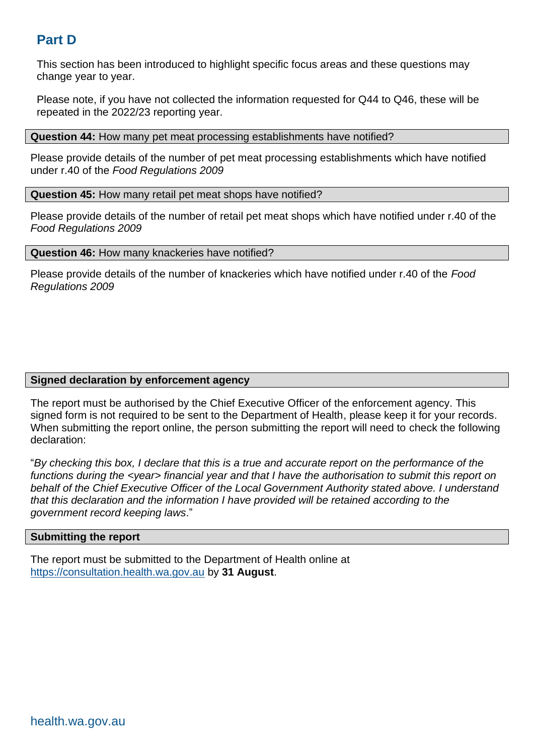# **Part D**

This section has been introduced to highlight specific focus areas and these questions may change year to year.

Please note, if you have not collected the information requested for Q44 to Q46, these will be repeated in the 2022/23 reporting year.

**Question 44:** How many pet meat processing establishments have notified?

Please provide details of the number of pet meat processing establishments which have notified under r.40 of the *Food Regulations 2009*

**Question 45:** How many retail pet meat shops have notified?

Please provide details of the number of retail pet meat shops which have notified under r.40 of the *Food Regulations 2009*

**Question 46:** How many knackeries have notified?

Please provide details of the number of knackeries which have notified under r.40 of the *Food Regulations 2009*

#### **Signed declaration by enforcement agency**

The report must be authorised by the Chief Executive Officer of the enforcement agency. This signed form is not required to be sent to the Department of Health, please keep it for your records. When submitting the report online, the person submitting the report will need to check the following declaration:

"*By checking this box, I declare that this is a true and accurate report on the performance of the functions during the <year> financial year and that I have the authorisation to submit this report on behalf of the Chief Executive Officer of the Local Government Authority stated above. I understand that this declaration and the information I have provided will be retained according to the government record keeping laws*."

#### **Submitting the report**

The report must be submitted to the Department of Health online at [https://consultation.health.wa.gov.au](https://consultation.health.wa.gov.au/) by **31 August**.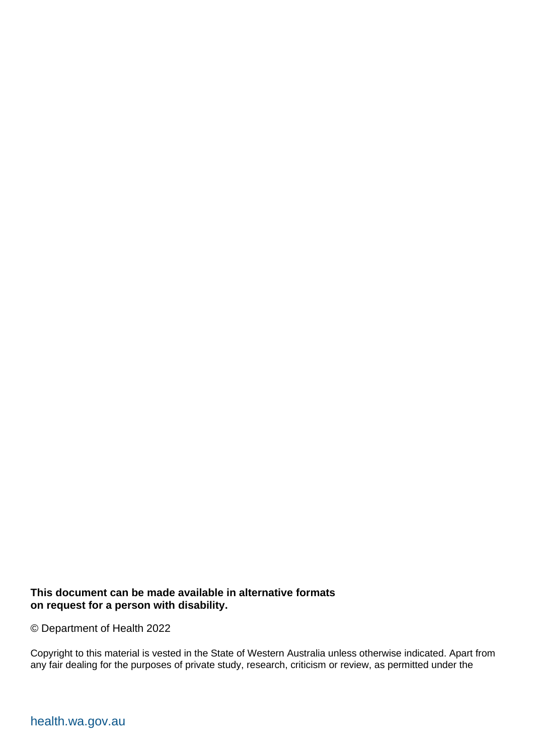#### **This document can be made available in alternative formats on request for a person with disability.**

© Department of Health 2022

Copyright to this material is vested in the State of Western Australia unless otherwise indicated. Apart from any fair dealing for the purposes of private study, research, criticism or review, as permitted under the